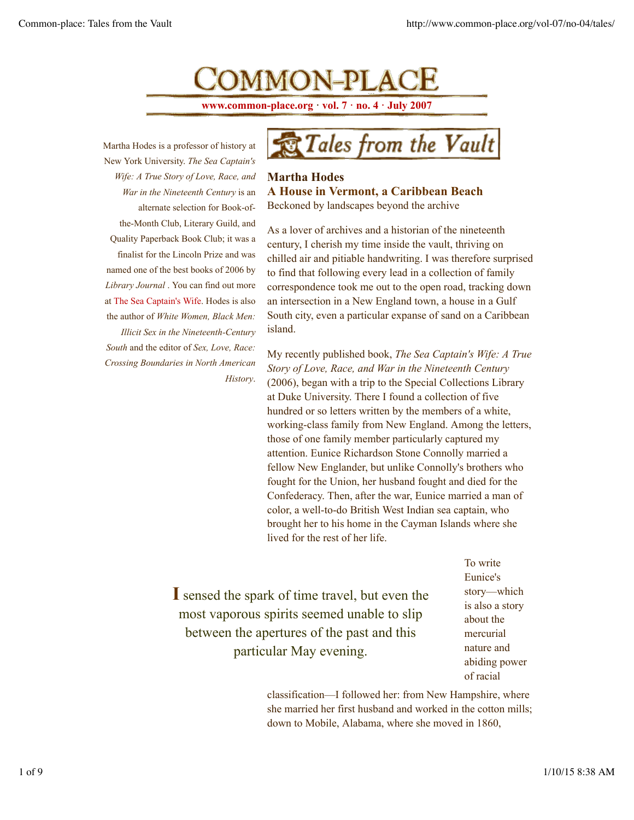COMMON-PLACE

**www.common-place.org · vol. 7 · no. 4 · July 2007**

Martha Hodes is a professor of history at New York University. *The Sea Captain's Wife: A True Story of Love, Race, and War in the Nineteenth Century* is an alternate selection for Book-ofthe-Month Club, Literary Guild, and Quality Paperback Book Club; it was a finalist for the Lincoln Prize and was named one of the best books of 2006 by *Library Journal* . You can find out more at The Sea Captain's Wife. Hodes is also the author of *White Women, Black Men: Illicit Sex in the Nineteenth-Century South* and the editor of *Sex, Love, Race: Crossing Boundaries in North American History*.



## **Martha Hodes A House in Vermont, a Caribbean Beach** Beckoned by landscapes beyond the archive

As a lover of archives and a historian of the nineteenth century, I cherish my time inside the vault, thriving on chilled air and pitiable handwriting. I was therefore surprised to find that following every lead in a collection of family correspondence took me out to the open road, tracking down an intersection in a New England town, a house in a Gulf South city, even a particular expanse of sand on a Caribbean island.

My recently published book, *The Sea Captain's Wife: A True Story of Love, Race, and War in the Nineteenth Century* (2006), began with a trip to the Special Collections Library at Duke University. There I found a collection of five hundred or so letters written by the members of a white, working-class family from New England. Among the letters, those of one family member particularly captured my attention. Eunice Richardson Stone Connolly married a fellow New Englander, but unlike Connolly's brothers who fought for the Union, her husband fought and died for the Confederacy. Then, after the war, Eunice married a man of color, a well-to-do British West Indian sea captain, who brought her to his home in the Cayman Islands where she lived for the rest of her life.

**I** sensed the spark of time travel, but even the most vaporous spirits seemed unable to slip between the apertures of the past and this particular May evening.

To write Eunice's story—which is also a story about the mercurial nature and abiding power of racial

classification—I followed her: from New Hampshire, where she married her first husband and worked in the cotton mills; down to Mobile, Alabama, where she moved in 1860,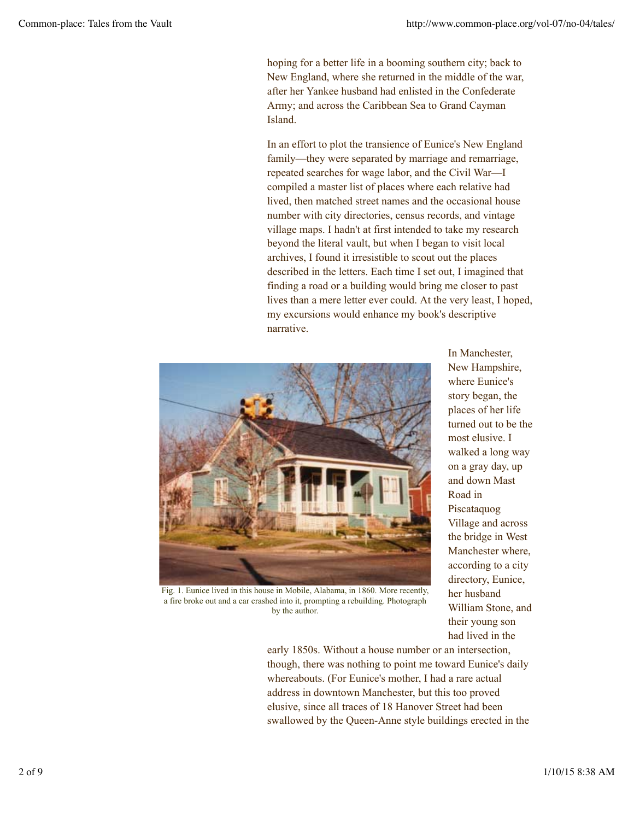hoping for a better life in a booming southern city; back to New England, where she returned in the middle of the war, after her Yankee husband had enlisted in the Confederate Army; and across the Caribbean Sea to Grand Cayman Island.

In an effort to plot the transience of Eunice's New England family—they were separated by marriage and remarriage, repeated searches for wage labor, and the Civil War—I compiled a master list of places where each relative had lived, then matched street names and the occasional house number with city directories, census records, and vintage village maps. I hadn't at first intended to take my research beyond the literal vault, but when I began to visit local archives, I found it irresistible to scout out the places described in the letters. Each time I set out, I imagined that finding a road or a building would bring me closer to past lives than a mere letter ever could. At the very least, I hoped, my excursions would enhance my book's descriptive narrative.



In Manchester, New Hampshire, where Eunice's story began, the places of her life turned out to be the most elusive. I walked a long way on a gray day, up and down Mast Road in Piscataquog Village and across the bridge in West Manchester where, according to a city directory, Eunice, her husband William Stone, and their young son had lived in the

Fig. 1. Eunice lived in this house in Mobile, Alabama, in 1860. More recently, a fire broke out and a car crashed into it, prompting a rebuilding. Photograph by the author.

early 1850s. Without a house number or an intersection, though, there was nothing to point me toward Eunice's daily whereabouts. (For Eunice's mother, I had a rare actual address in downtown Manchester, but this too proved elusive, since all traces of 18 Hanover Street had been swallowed by the Queen-Anne style buildings erected in the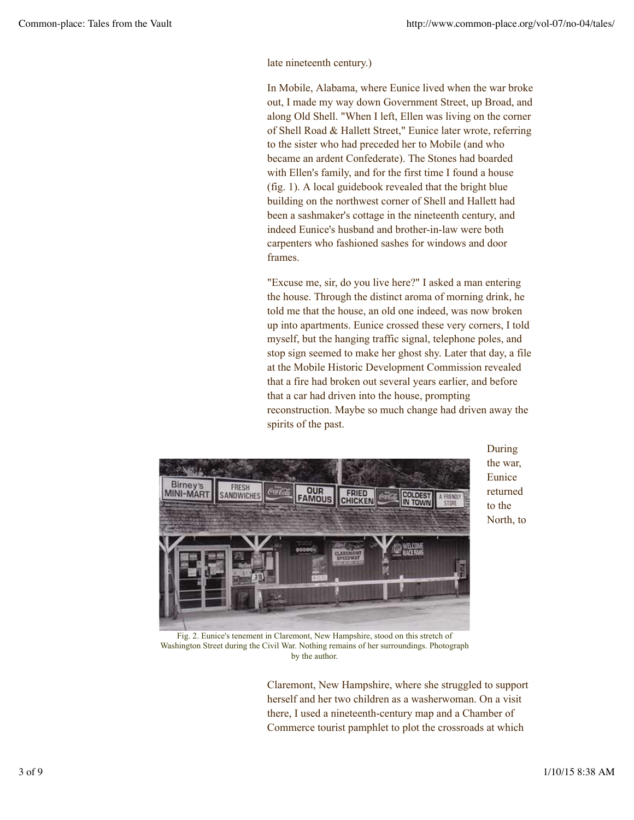late nineteenth century.)

In Mobile, Alabama, where Eunice lived when the war broke out, I made my way down Government Street, up Broad, and along Old Shell. "When I left, Ellen was living on the corner of Shell Road & Hallett Street," Eunice later wrote, referring to the sister who had preceded her to Mobile (and who became an ardent Confederate). The Stones had boarded with Ellen's family, and for the first time I found a house (fig. 1). A local guidebook revealed that the bright blue building on the northwest corner of Shell and Hallett had been a sashmaker's cottage in the nineteenth century, and indeed Eunice's husband and brother-in-law were both carpenters who fashioned sashes for windows and door frames.

"Excuse me, sir, do you live here?" I asked a man entering the house. Through the distinct aroma of morning drink, he told me that the house, an old one indeed, was now broken up into apartments. Eunice crossed these very corners, I told myself, but the hanging traffic signal, telephone poles, and stop sign seemed to make her ghost shy. Later that day, a file at the Mobile Historic Development Commission revealed that a fire had broken out several years earlier, and before that a car had driven into the house, prompting reconstruction. Maybe so much change had driven away the spirits of the past.



During the war, Eunice returned to the North, to

Fig. 2. Eunice's tenement in Claremont, New Hampshire, stood on this stretch of Washington Street during the Civil War. Nothing remains of her surroundings. Photograph by the author.

Claremont, New Hampshire, where she struggled to support herself and her two children as a washerwoman. On a visit there, I used a nineteenth-century map and a Chamber of Commerce tourist pamphlet to plot the crossroads at which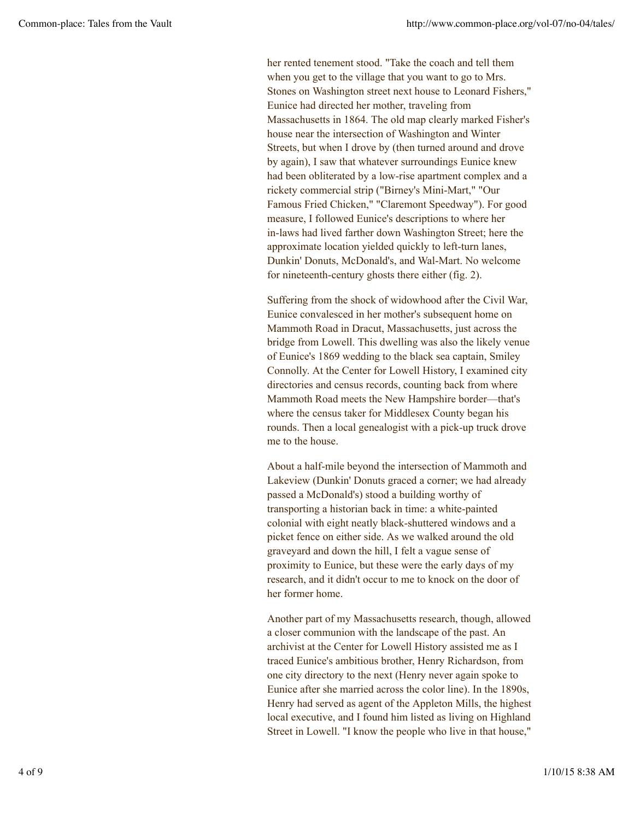her rented tenement stood. "Take the coach and tell them when you get to the village that you want to go to Mrs. Stones on Washington street next house to Leonard Fishers," Eunice had directed her mother, traveling from Massachusetts in 1864. The old map clearly marked Fisher's house near the intersection of Washington and Winter Streets, but when I drove by (then turned around and drove by again), I saw that whatever surroundings Eunice knew had been obliterated by a low-rise apartment complex and a rickety commercial strip ("Birney's Mini-Mart," "Our Famous Fried Chicken," "Claremont Speedway"). For good measure, I followed Eunice's descriptions to where her in-laws had lived farther down Washington Street; here the approximate location yielded quickly to left-turn lanes, Dunkin' Donuts, McDonald's, and Wal-Mart. No welcome for nineteenth-century ghosts there either (fig. 2).

Suffering from the shock of widowhood after the Civil War, Eunice convalesced in her mother's subsequent home on Mammoth Road in Dracut, Massachusetts, just across the bridge from Lowell. This dwelling was also the likely venue of Eunice's 1869 wedding to the black sea captain, Smiley Connolly. At the Center for Lowell History, I examined city directories and census records, counting back from where Mammoth Road meets the New Hampshire border—that's where the census taker for Middlesex County began his rounds. Then a local genealogist with a pick-up truck drove me to the house.

About a half-mile beyond the intersection of Mammoth and Lakeview (Dunkin' Donuts graced a corner; we had already passed a McDonald's) stood a building worthy of transporting a historian back in time: a white-painted colonial with eight neatly black-shuttered windows and a picket fence on either side. As we walked around the old graveyard and down the hill, I felt a vague sense of proximity to Eunice, but these were the early days of my research, and it didn't occur to me to knock on the door of her former home.

Another part of my Massachusetts research, though, allowed a closer communion with the landscape of the past. An archivist at the Center for Lowell History assisted me as I traced Eunice's ambitious brother, Henry Richardson, from one city directory to the next (Henry never again spoke to Eunice after she married across the color line). In the 1890s, Henry had served as agent of the Appleton Mills, the highest local executive, and I found him listed as living on Highland Street in Lowell. "I know the people who live in that house,"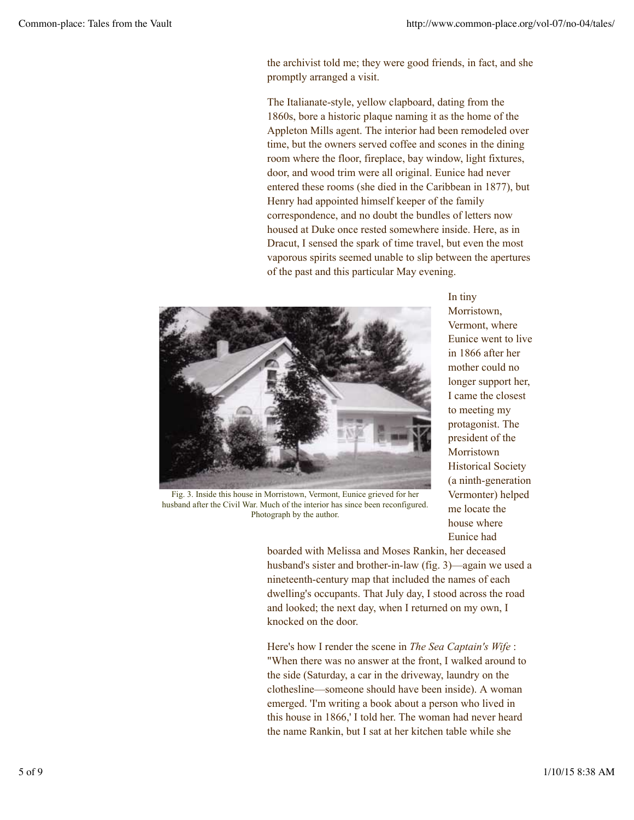the archivist told me; they were good friends, in fact, and she promptly arranged a visit.

The Italianate-style, yellow clapboard, dating from the 1860s, bore a historic plaque naming it as the home of the Appleton Mills agent. The interior had been remodeled over time, but the owners served coffee and scones in the dining room where the floor, fireplace, bay window, light fixtures, door, and wood trim were all original. Eunice had never entered these rooms (she died in the Caribbean in 1877), but Henry had appointed himself keeper of the family correspondence, and no doubt the bundles of letters now housed at Duke once rested somewhere inside. Here, as in Dracut, I sensed the spark of time travel, but even the most vaporous spirits seemed unable to slip between the apertures of the past and this particular May evening.



In tiny Morristown, Vermont, where Eunice went to live in 1866 after her mother could no longer support her, I came the closest to meeting my protagonist. The president of the Morristown Historical Society (a ninth-generation Vermonter) helped me locate the house where Eunice had

Fig. 3. Inside this house in Morristown, Vermont, Eunice grieved for her husband after the Civil War. Much of the interior has since been reconfigured. Photograph by the author.

boarded with Melissa and Moses Rankin, her deceased husband's sister and brother-in-law (fig. 3)—again we used a nineteenth-century map that included the names of each dwelling's occupants. That July day, I stood across the road and looked; the next day, when I returned on my own, I knocked on the door.

Here's how I render the scene in *The Sea Captain's Wife* : "When there was no answer at the front, I walked around to the side (Saturday, a car in the driveway, laundry on the clothesline—someone should have been inside). A woman emerged. 'I'm writing a book about a person who lived in this house in 1866,' I told her. The woman had never heard the name Rankin, but I sat at her kitchen table while she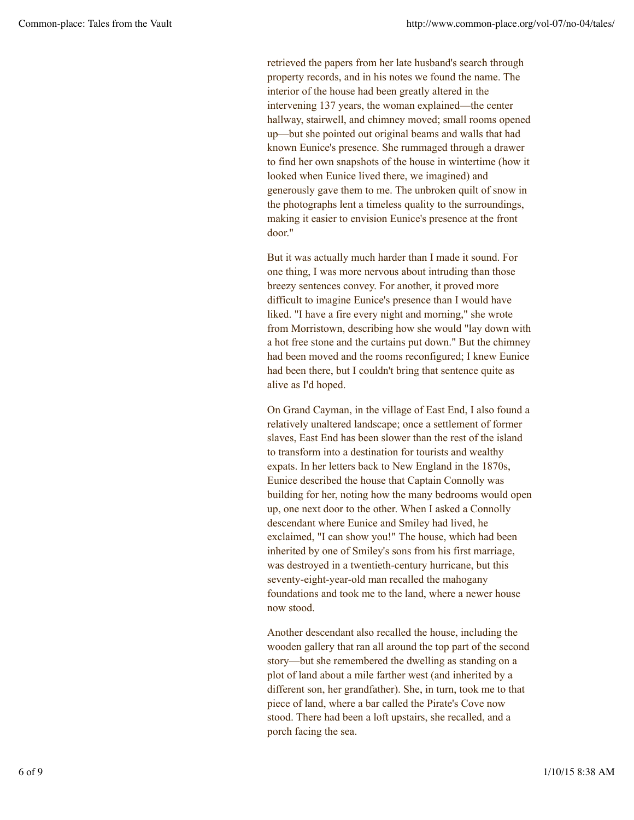retrieved the papers from her late husband's search through property records, and in his notes we found the name. The interior of the house had been greatly altered in the intervening 137 years, the woman explained—the center hallway, stairwell, and chimney moved; small rooms opened up—but she pointed out original beams and walls that had known Eunice's presence. She rummaged through a drawer to find her own snapshots of the house in wintertime (how it looked when Eunice lived there, we imagined) and generously gave them to me. The unbroken quilt of snow in the photographs lent a timeless quality to the surroundings, making it easier to envision Eunice's presence at the front door."

But it was actually much harder than I made it sound. For one thing, I was more nervous about intruding than those breezy sentences convey. For another, it proved more difficult to imagine Eunice's presence than I would have liked. "I have a fire every night and morning," she wrote from Morristown, describing how she would "lay down with a hot free stone and the curtains put down." But the chimney had been moved and the rooms reconfigured; I knew Eunice had been there, but I couldn't bring that sentence quite as alive as I'd hoped.

On Grand Cayman, in the village of East End, I also found a relatively unaltered landscape; once a settlement of former slaves, East End has been slower than the rest of the island to transform into a destination for tourists and wealthy expats. In her letters back to New England in the 1870s, Eunice described the house that Captain Connolly was building for her, noting how the many bedrooms would open up, one next door to the other. When I asked a Connolly descendant where Eunice and Smiley had lived, he exclaimed, "I can show you!" The house, which had been inherited by one of Smiley's sons from his first marriage, was destroyed in a twentieth-century hurricane, but this seventy-eight-year-old man recalled the mahogany foundations and took me to the land, where a newer house now stood.

Another descendant also recalled the house, including the wooden gallery that ran all around the top part of the second story—but she remembered the dwelling as standing on a plot of land about a mile farther west (and inherited by a different son, her grandfather). She, in turn, took me to that piece of land, where a bar called the Pirate's Cove now stood. There had been a loft upstairs, she recalled, and a porch facing the sea.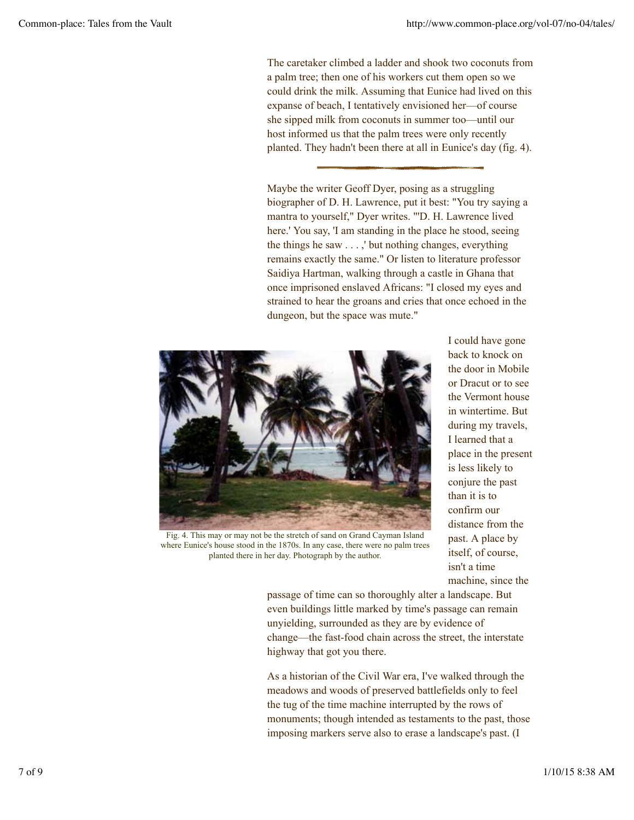The caretaker climbed a ladder and shook two coconuts from a palm tree; then one of his workers cut them open so we could drink the milk. Assuming that Eunice had lived on this expanse of beach, I tentatively envisioned her—of course she sipped milk from coconuts in summer too—until our host informed us that the palm trees were only recently planted. They hadn't been there at all in Eunice's day (fig. 4).

Maybe the writer Geoff Dyer, posing as a struggling biographer of D. H. Lawrence, put it best: "You try saying a mantra to yourself," Dyer writes. "'D. H. Lawrence lived here.' You say, 'I am standing in the place he stood, seeing the things he saw . . . ,' but nothing changes, everything remains exactly the same." Or listen to literature professor Saidiya Hartman, walking through a castle in Ghana that once imprisoned enslaved Africans: "I closed my eyes and strained to hear the groans and cries that once echoed in the dungeon, but the space was mute."



Fig. 4. This may or may not be the stretch of sand on Grand Cayman Island where Eunice's house stood in the 1870s. In any case, there were no palm trees

I could have gone back to knock on the door in Mobile or Dracut or to see the Vermont house in wintertime. But during my travels, I learned that a place in the present is less likely to conjure the past than it is to confirm our distance from the past. A place by itself, of course, isn't a time machine, since the

planted there in her day. Photograph by the author.

passage of time can so thoroughly alter a landscape. But even buildings little marked by time's passage can remain unyielding, surrounded as they are by evidence of change—the fast-food chain across the street, the interstate highway that got you there.

As a historian of the Civil War era, I've walked through the meadows and woods of preserved battlefields only to feel the tug of the time machine interrupted by the rows of monuments; though intended as testaments to the past, those imposing markers serve also to erase a landscape's past. (I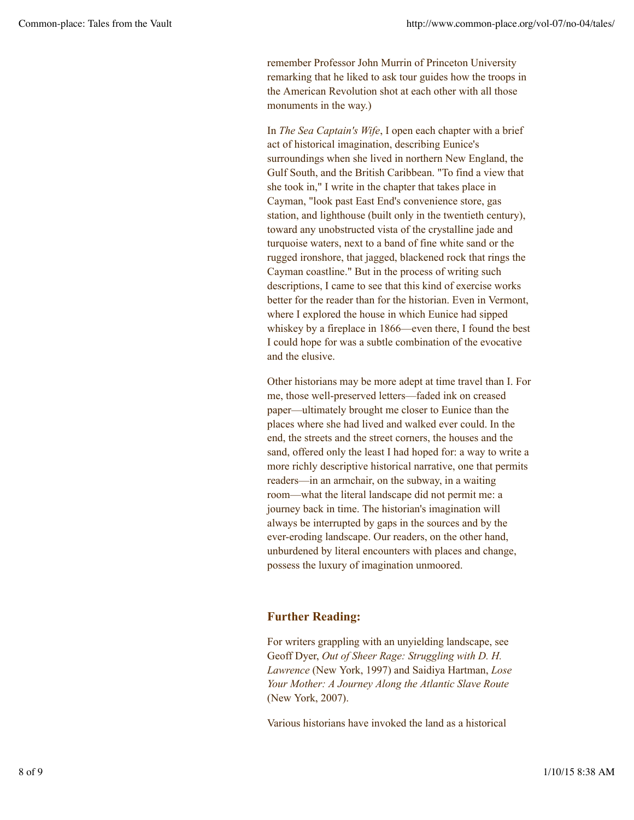remember Professor John Murrin of Princeton University remarking that he liked to ask tour guides how the troops in the American Revolution shot at each other with all those monuments in the way.)

In *The Sea Captain's Wife*, I open each chapter with a brief act of historical imagination, describing Eunice's surroundings when she lived in northern New England, the Gulf South, and the British Caribbean. "To find a view that she took in," I write in the chapter that takes place in Cayman, "look past East End's convenience store, gas station, and lighthouse (built only in the twentieth century), toward any unobstructed vista of the crystalline jade and turquoise waters, next to a band of fine white sand or the rugged ironshore, that jagged, blackened rock that rings the Cayman coastline." But in the process of writing such descriptions, I came to see that this kind of exercise works better for the reader than for the historian. Even in Vermont, where I explored the house in which Eunice had sipped whiskey by a fireplace in 1866—even there, I found the best I could hope for was a subtle combination of the evocative and the elusive.

Other historians may be more adept at time travel than I. For me, those well-preserved letters—faded ink on creased paper—ultimately brought me closer to Eunice than the places where she had lived and walked ever could. In the end, the streets and the street corners, the houses and the sand, offered only the least I had hoped for: a way to write a more richly descriptive historical narrative, one that permits readers—in an armchair, on the subway, in a waiting room—what the literal landscape did not permit me: a journey back in time. The historian's imagination will always be interrupted by gaps in the sources and by the ever-eroding landscape. Our readers, on the other hand, unburdened by literal encounters with places and change, possess the luxury of imagination unmoored.

## **Further Reading:**

For writers grappling with an unyielding landscape, see Geoff Dyer, *Out of Sheer Rage: Struggling with D. H. Lawrence* (New York, 1997) and Saidiya Hartman, *Lose Your Mother: A Journey Along the Atlantic Slave Route* (New York, 2007).

Various historians have invoked the land as a historical